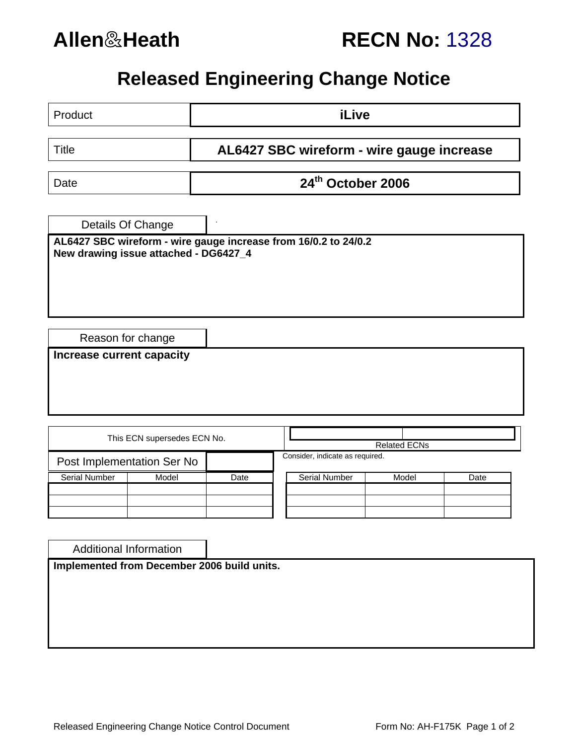

# **Allen**&**Heath RECN No:** 1328

# **Released Engineering Change Notice**

| Product                                                                                                                       |       | iLive                                     |                                                        |       |      |
|-------------------------------------------------------------------------------------------------------------------------------|-------|-------------------------------------------|--------------------------------------------------------|-------|------|
| <b>Title</b>                                                                                                                  |       | AL6427 SBC wireform - wire gauge increase |                                                        |       |      |
| Date                                                                                                                          |       | 24th October 2006                         |                                                        |       |      |
|                                                                                                                               |       |                                           |                                                        |       |      |
| Details Of Change<br>AL6427 SBC wireform - wire gauge increase from 16/0.2 to 24/0.2<br>New drawing issue attached - DG6427_4 |       |                                           |                                                        |       |      |
| Reason for change<br>Increase current capacity                                                                                |       |                                           |                                                        |       |      |
| This ECN supersedes ECN No.                                                                                                   |       |                                           |                                                        |       |      |
| Post Implementation Ser No                                                                                                    |       |                                           | <b>Related ECNs</b><br>Consider, indicate as required. |       |      |
| <b>Serial Number</b>                                                                                                          | Model | Date                                      | Serial Number                                          | Model | Date |
|                                                                                                                               |       |                                           |                                                        |       |      |
| <b>Additional Information</b>                                                                                                 |       |                                           |                                                        |       |      |
| Implemented from December 2006 build units.                                                                                   |       |                                           |                                                        |       |      |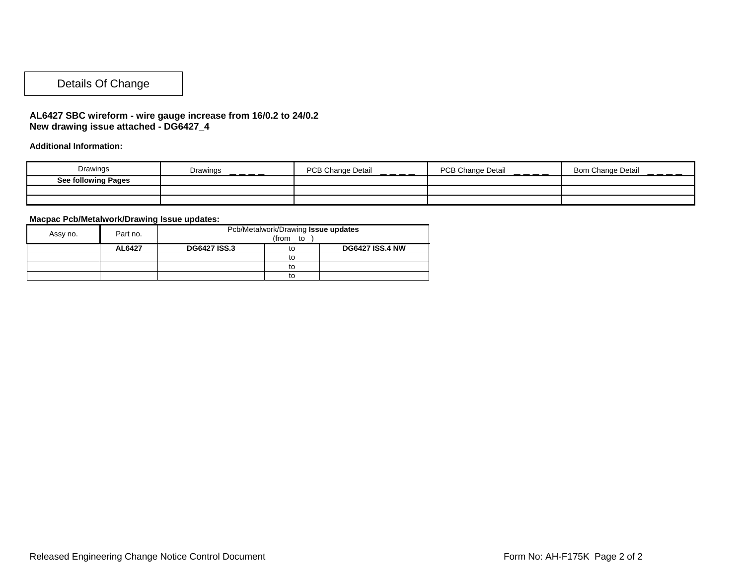### Details Of Change

#### **AL6427 SBC wireform - wire gauge increase from 16/0.2 to 24/0.2 New drawing issue attached - DG6427\_4**

**Additional Information:** 

| Drawings                   | Drawings<br>_ _ _ _ | <b>PCB Change Detail</b><br>$  -$ | <b>PCB Change Detail</b><br>$  -$ | <b>Change Detail</b><br><b>Bom</b><br>____ |
|----------------------------|---------------------|-----------------------------------|-----------------------------------|--------------------------------------------|
| <b>See following Pages</b> |                     |                                   |                                   |                                            |
|                            |                     |                                   |                                   |                                            |
|                            |                     |                                   |                                   |                                            |

#### **Macpac Pcb/Metalwork/Drawing Issue updates:**

| Assy no. | Part no. | Pcb/Metalwork/Drawing Issue updates<br>$(from_to$ |    |                        |
|----------|----------|---------------------------------------------------|----|------------------------|
|          | AL6427   | <b>DG6427 ISS.3</b>                               | to | <b>DG6427 ISS.4 NW</b> |
|          |          |                                                   | to |                        |
|          |          |                                                   | to |                        |
|          |          |                                                   | to |                        |